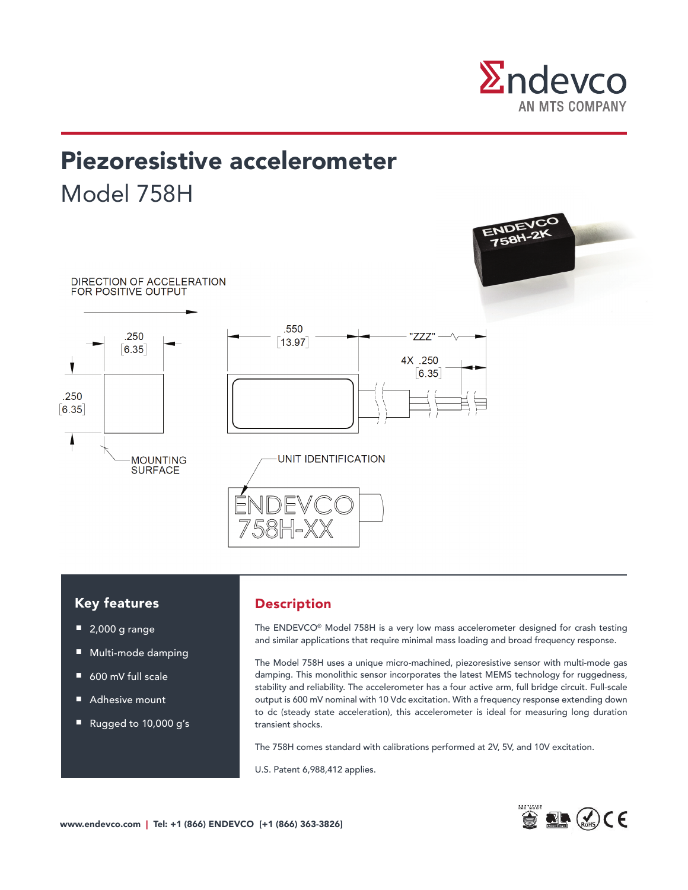

# Piezoresistive accelerometer Model 758H



# Key features

- 2,000 g range
- Multi-mode damping
- 600 mV full scale
- Adhesive mount
- Rugged to 10,000 g's

## Description

The ENDEVCO® Model 758H is a very low mass accelerometer designed for crash testing and similar applications that require minimal mass loading and broad frequency response.

The Model 758H uses a unique micro-machined, piezoresistive sensor with multi-mode gas damping. This monolithic sensor incorporates the latest MEMS technology for ruggedness, stability and reliability. The accelerometer has a four active arm, full bridge circuit. Full-scale output is 600 mV nominal with 10 Vdc excitation. With a frequency response extending down to dc (steady state acceleration), this accelerometer is ideal for measuring long duration transient shocks.

The 758H comes standard with calibrations performed at 2V, 5V, and 10V excitation.

U.S. Patent 6,988,412 applies.

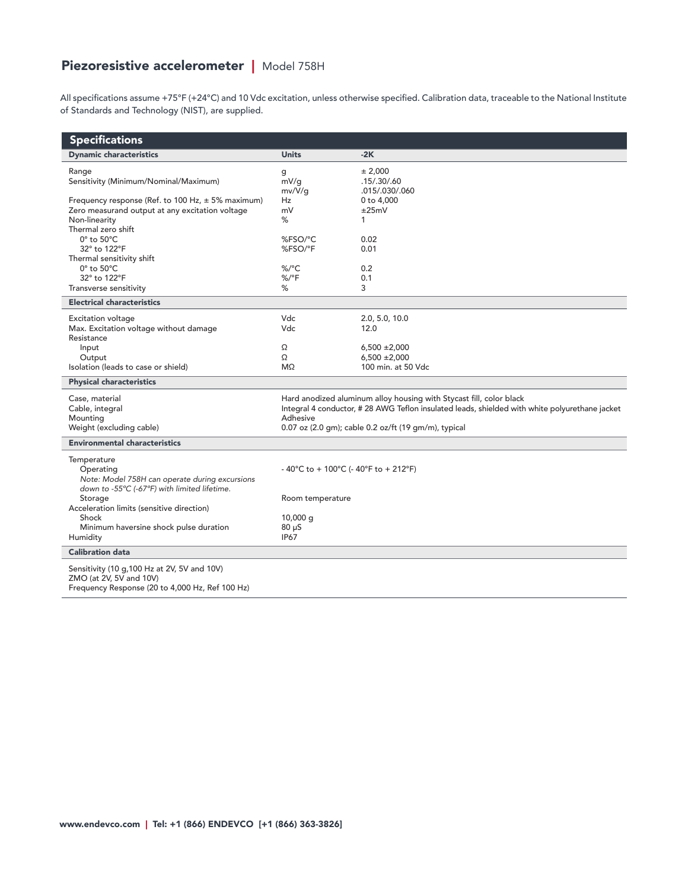# Piezoresistive accelerometer | Model 758H

All specifications assume +75°F (+24°C) and 10 Vdc excitation, unless otherwise specified. Calibration data, traceable to the National Institute of Standards and Technology (NIST), are supplied.

| <b>Specifications</b>                                                                                    |                                                                                                           |                                        |
|----------------------------------------------------------------------------------------------------------|-----------------------------------------------------------------------------------------------------------|----------------------------------------|
| <b>Dynamic characteristics</b>                                                                           | <b>Units</b>                                                                                              | $-2K$                                  |
| Range                                                                                                    | g                                                                                                         | ± 2,000                                |
| Sensitivity (Minimum/Nominal/Maximum)                                                                    | mV/q                                                                                                      | .15/.30/.60                            |
|                                                                                                          | mv/V/q                                                                                                    | .015/.030/.060                         |
| Frequency response (Ref. to 100 Hz, $\pm$ 5% maximum)<br>Zero measurand output at any excitation voltage | Hz<br>mV                                                                                                  | 0 to 4,000<br>±25mV                    |
| Non-linearity                                                                                            | %                                                                                                         | 1                                      |
| Thermal zero shift                                                                                       |                                                                                                           |                                        |
| $0^\circ$ to $50^\circ C$                                                                                | %FSO/°C                                                                                                   | 0.02                                   |
| 32° to 122°F                                                                                             | %FSO/°F                                                                                                   | 0.01                                   |
| Thermal sensitivity shift                                                                                |                                                                                                           |                                        |
| $0^\circ$ to $50^\circ C$                                                                                | $\%$ /°C                                                                                                  | 0.2                                    |
| 32° to 122°F<br>Transverse sensitivity                                                                   | $%$ /°F<br>%                                                                                              | 0.1<br>3                               |
|                                                                                                          |                                                                                                           |                                        |
| <b>Electrical characteristics</b>                                                                        |                                                                                                           |                                        |
| <b>Excitation voltage</b>                                                                                | Vdc                                                                                                       | 2.0, 5.0, 10.0                         |
| Max. Excitation voltage without damage                                                                   | Vdc                                                                                                       | 12.0                                   |
| Resistance                                                                                               |                                                                                                           |                                        |
| Input<br>Output                                                                                          | Ω<br>Ω                                                                                                    | $6,500 \pm 2,000$<br>$6,500 \pm 2,000$ |
| Isolation (leads to case or shield)                                                                      | $M\Omega$                                                                                                 | 100 min. at 50 Vdc                     |
| <b>Physical characteristics</b>                                                                          |                                                                                                           |                                        |
|                                                                                                          |                                                                                                           |                                        |
| Case, material                                                                                           | Hard anodized aluminum alloy housing with Stycast fill, color black                                       |                                        |
| Cable, integral<br>Mounting                                                                              | Integral 4 conductor, #28 AWG Teflon insulated leads, shielded with white polyurethane jacket<br>Adhesive |                                        |
| Weight (excluding cable)                                                                                 | 0.07 oz (2.0 gm); cable 0.2 oz/ft (19 gm/m), typical                                                      |                                        |
| <b>Environmental characteristics</b>                                                                     |                                                                                                           |                                        |
|                                                                                                          |                                                                                                           |                                        |
| Temperature<br>Operating                                                                                 | - 40°C to + 100°C (- 40°F to + 212°F)                                                                     |                                        |
| Note: Model 758H can operate during excursions                                                           |                                                                                                           |                                        |
| down to -55°C (-67°F) with limited lifetime.                                                             |                                                                                                           |                                        |
| Storage                                                                                                  | Room temperature                                                                                          |                                        |
| Acceleration limits (sensitive direction)                                                                |                                                                                                           |                                        |
| Shock                                                                                                    | $10,000$ q                                                                                                |                                        |
| Minimum haversine shock pulse duration                                                                   | $80 \mu S$                                                                                                |                                        |
| Humidity                                                                                                 | <b>IP67</b>                                                                                               |                                        |
| <b>Calibration data</b>                                                                                  |                                                                                                           |                                        |
| Sensitivity (10 g, 100 Hz at 2V, 5V and 10V)                                                             |                                                                                                           |                                        |
| ZMO (at 2V, 5V and 10V)                                                                                  |                                                                                                           |                                        |
| Frequency Response (20 to 4,000 Hz, Ref 100 Hz)                                                          |                                                                                                           |                                        |